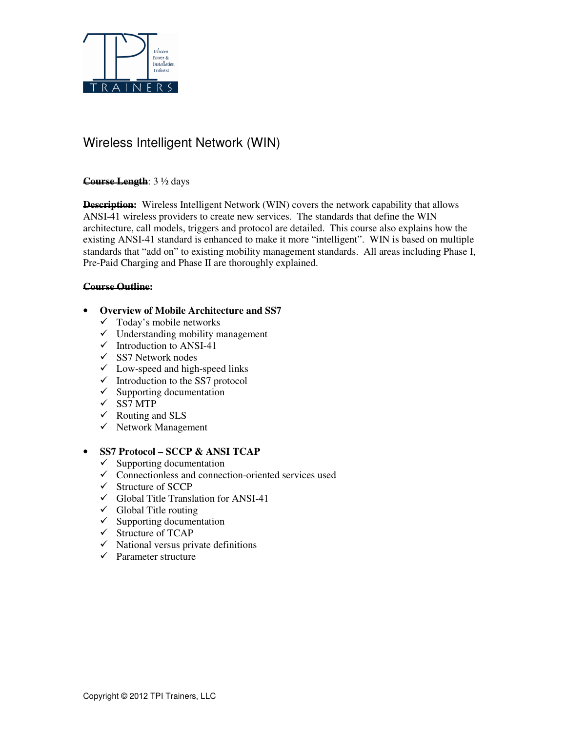

# Wireless Intelligent Network (WIN)

#### **Course Length**: 3 ½ days

**Description:** Wireless Intelligent Network (WIN) covers the network capability that allows ANSI-41 wireless providers to create new services. The standards that define the WIN architecture, call models, triggers and protocol are detailed. This course also explains how the existing ANSI-41 standard is enhanced to make it more "intelligent". WIN is based on multiple standards that "add on" to existing mobility management standards. All areas including Phase I, Pre-Paid Charging and Phase II are thoroughly explained.

#### **Course Outline:**

## • **Overview of Mobile Architecture and SS7**

- $\checkmark$  Today's mobile networks
- $\checkmark$  Understanding mobility management
- $\checkmark$  Introduction to ANSI-41
- $\checkmark$  SS7 Network nodes
- $\checkmark$  Low-speed and high-speed links
- $\checkmark$  Introduction to the SS7 protocol
- $\checkmark$  Supporting documentation
- $\sqrt{\text{SS}7\text{ MTP}}$
- $\checkmark$  Routing and SLS
- $\checkmark$  Network Management

#### • **SS7 Protocol – SCCP & ANSI TCAP**

- $\checkmark$  Supporting documentation
- $\checkmark$  Connectionless and connection-oriented services used
- $\checkmark$  Structure of SCCP
- $\checkmark$  Global Title Translation for ANSI-41
- $\checkmark$  Global Title routing
- $\checkmark$  Supporting documentation
- $\checkmark$  Structure of TCAP
- $\checkmark$  National versus private definitions
- $\checkmark$  Parameter structure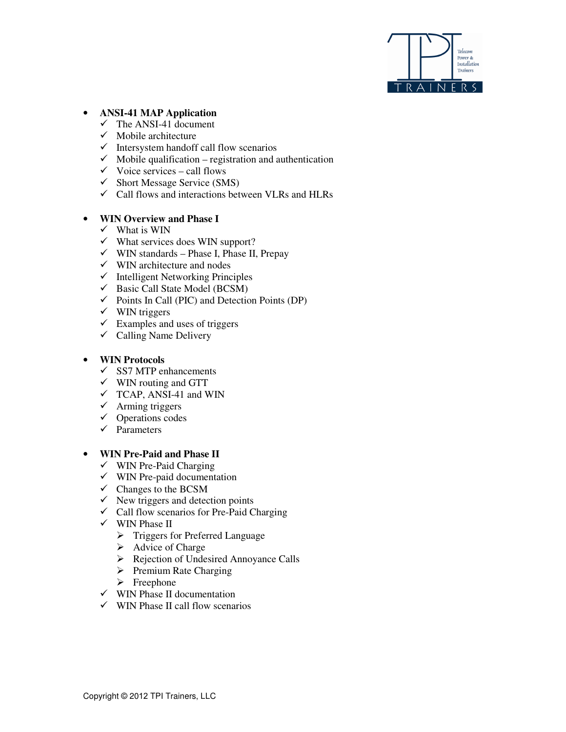

# • **ANSI-41 MAP Application**

- $\checkmark$  The ANSI-41 document
- $\checkmark$  Mobile architecture
- $\checkmark$  Intersystem handoff call flow scenarios
- $\checkmark$  Mobile qualification registration and authentication
- $\checkmark$  Voice services call flows
- $\checkmark$  Short Message Service (SMS)
- $\checkmark$  Call flows and interactions between VLRs and HLRs

## • **WIN Overview and Phase I**

- $\checkmark$  What is WIN
- $\checkmark$  What services does WIN support?
- $\checkmark$  WIN standards Phase I, Phase II, Prepay
- $\checkmark$  WIN architecture and nodes
- $\checkmark$  Intelligent Networking Principles
- $\checkmark$  Basic Call State Model (BCSM)
- $\checkmark$  Points In Call (PIC) and Detection Points (DP)
- $\checkmark$  WIN triggers
- $\checkmark$  Examples and uses of triggers
- $\checkmark$  Calling Name Delivery

#### • **WIN Protocols**

- $\checkmark$  SS7 MTP enhancements
- $\checkmark$  WIN routing and GTT
- $\checkmark$  TCAP, ANSI-41 and WIN
- $\checkmark$  Arming triggers
- $\checkmark$  Operations codes
- $\checkmark$  Parameters

#### • **WIN Pre-Paid and Phase II**

- $\checkmark$  WIN Pre-Paid Charging
- $\checkmark$  WIN Pre-paid documentation
- $\overrightarrow{C}$  Changes to the BCSM
- $\checkmark$  New triggers and detection points
- $\checkmark$  Call flow scenarios for Pre-Paid Charging
- $\checkmark$  WIN Phase II
	- > Triggers for Preferred Language
	- > Advice of Charge
	- Rejection of Undesired Annoyance Calls
	- > Premium Rate Charging
	- > Freephone
- $\checkmark$  WIN Phase II documentation
- $\checkmark$  WIN Phase II call flow scenarios